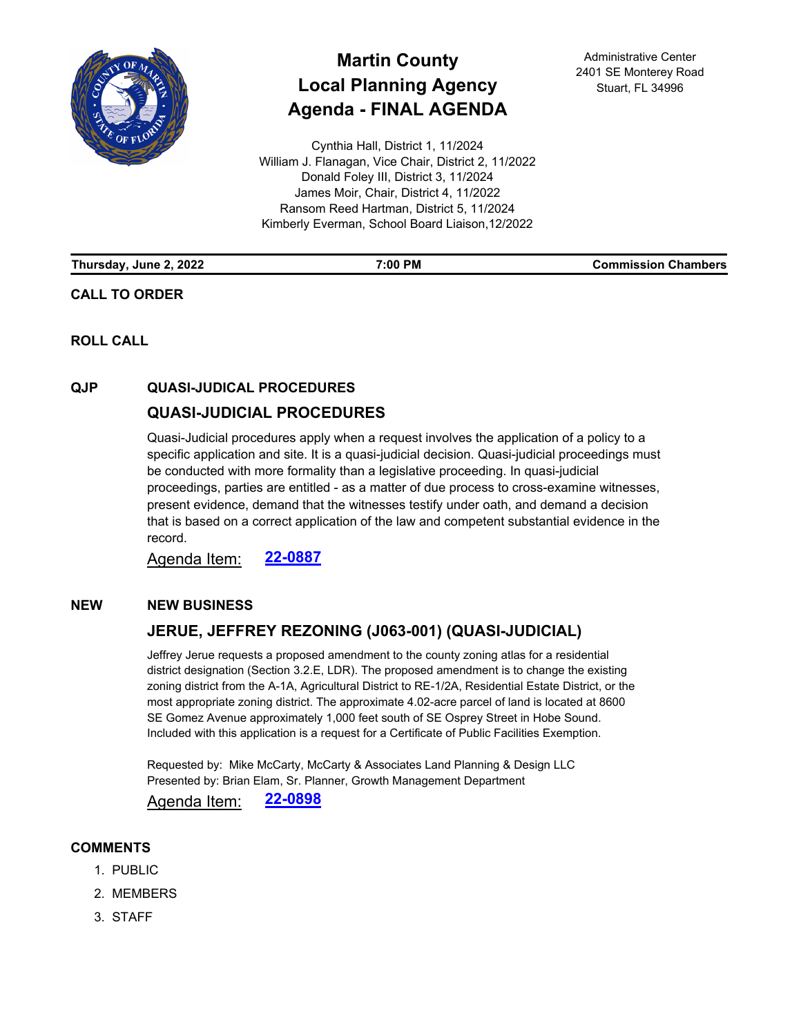

# **Martin County Local Planning Agency Agenda - FINAL AGENDA**

Cynthia Hall, District 1, 11/2024 William J. Flanagan, Vice Chair, District 2, 11/2022 Donald Foley III, District 3, 11/2024 James Moir, Chair, District 4, 11/2022 Ransom Reed Hartman, District 5, 11/2024 Kimberly Everman, School Board Liaison,12/2022

Administrative Center 2401 SE Monterey Road Stuart, FL 34996

| Thursday, June 2, 2022 | 7:00 PM | <b>Commission Chambers</b> |
|------------------------|---------|----------------------------|
|                        |         |                            |

**ROLL CALL**

**CALL TO ORDER**

## **QJP QUASI-JUDICAL PROCEDURES**

## **[QUASI-JUDICIAL PROCEDURES](http://martin.legistar.com/gateway.aspx?m=l&id=/matter.aspx?key=6248)**

Quasi-Judicial procedures apply when a request involves the application of a policy to a specific application and site. It is a quasi-judicial decision. Quasi-judicial proceedings must be conducted with more formality than a legislative proceeding. In quasi-judicial proceedings, parties are entitled - as a matter of due process to cross-examine witnesses, present evidence, demand that the witnesses testify under oath, and demand a decision that is based on a correct application of the law and competent substantial evidence in the record.

Agenda Item: **[22-0887](http://martin.legistar.com/gateway.aspx?m=l&id=/matter.aspx?key=6248)**

### **NEW NEW BUSINESS**

## **[JERUE, JEFFREY REZONING \(J063-001\) \(QUASI-JUDICIAL\)](http://martin.legistar.com/gateway.aspx?m=l&id=/matter.aspx?key=6259)**

Jeffrey Jerue requests a proposed amendment to the county zoning atlas for a residential district designation (Section 3.2.E, LDR). The proposed amendment is to change the existing zoning district from the A-1A, Agricultural District to RE-1/2A, Residential Estate District, or the most appropriate zoning district. The approximate 4.02-acre parcel of land is located at 8600 SE Gomez Avenue approximately 1,000 feet south of SE Osprey Street in Hobe Sound. Included with this application is a request for a Certificate of Public Facilities Exemption.

Requested by: Mike McCarty, McCarty & Associates Land Planning & Design LLC Presented by: Brian Elam, Sr. Planner, Growth Management Department

Agenda Item: **[22-0898](http://martin.legistar.com/gateway.aspx?m=l&id=/matter.aspx?key=6259)**

#### **COMMENTS**

- 1. PUBLIC
- 2. MEMBERS
- 3. STAFF